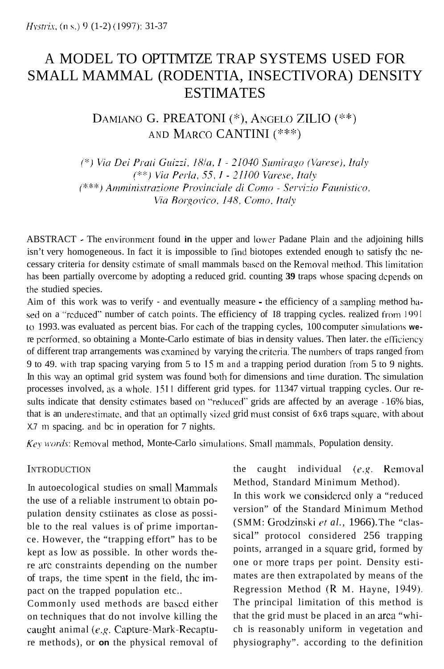# A MODEL TO OPTTMTZE TRAP SYSTEMS USED FOR SMALL MAMMAL (RODENTIA, INSECTIVORA) DENSITY ESTIMATES

DAMIANO G. PREATONI (\*), ANGELO ZILIO (\*\*) AND MARCO CANTINI (\*\*\*)

(\*) Via Dei Prati Guizzi, 18/a, I - 21040 Sumirago (Varese), Italy (\*\*) Via Perla, 55, I - 21100 Varese, Italy (\*\*\*) Amministrazione Provinciale di Como - Servizio Faunistico, Via Borgovico, 148. Como, Italy

ABSTRACT - The environmcnt found **in** the upper and lower Padane Plain and the adjoining hills isn't very homogeneous. In fact it is impossible to I'ind biotopes extended enough **10** satisfy the necessary criteria for density estimate of small mammals based on the Removal method. This limitation has been partially overcome by adopting a reduced grid. counting **39** traps whose spacing dcpends on the studied species.

Aim of this work was to verify - and eventually measure - the efficiency of a sampling method based on a "reduced" number of catch points. The efficiency of I8 trapping cycles. realized from 1991 tu 1993. was evaluated as percent bias. For each of the trapping cycles, 100 computer siinulatioris **we**re pcrformed. so obtaining a Monte-Carlo estimate of bias in density values. Then later. the elliciency of different trap arrangements was examined by varying the critcriu. The nunihers of traps ranged from 9 to 49. with trap spacing varying from 5 to 15 m and a trapping period duration lrom 5 to 9 nights. In this way an optimal grid system was found both for dimensions and time duration. The simulation processes involved, as a whole. 1511 different grid types. for 11347 virtual trapping cycles. Our results indicate that density cstimates based on "reduced" grids are affected by an average - 16% bias, that is an underestimate, and that an optimally sized grid must consist of 6x6 traps square, with about X.7 m spacing. and bc in operation for 7 nights.

*Key words:* Removal method, Monte-Carlo simulations. Small mammals, Population density.

### **INTRODUCTION**

In autoecological studies on small Mammals the use of a reliable instrument **LO** obtain population density cstiinates as close as possible to the real values is of prime importance. However, the "trapping effort" has to be kept as low as possible. In other words there arc constraints depending on the number of traps, the time spent in the field, the inpact on the trapped population etc..

Commonly used methods are based either on techniques that do not involve killing the caught animal *(e.g.* Capture-Mark-Recapture methods), or **on** the physical removal of the caught individual *(e.g.* Removal Method, Standard Minimum Method).

In this work we considercd only a "reduced version" of the Standard Minimum Method (SMM: Grodzinski *rt al.,* 1966). The "classical" protocol considered 256 trapping points, arranged in a square grid, formed by one or more traps per point. Density estimates are then extrapolated by means of the Regression Method **(R** M. Hayne, 1949). The principal limitation of this method is that the grid must be placed in an area "which is reasonably uniform in vegetation and physiography". according to the definition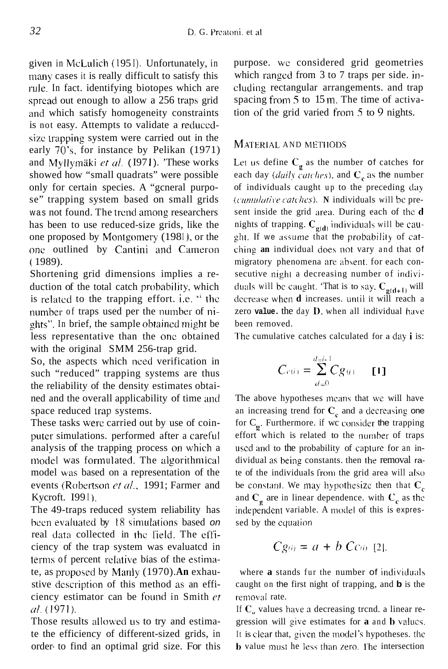given in McLulich (1951). Unfortunately, in many cases it is really difficult to satisfy this rule. In fact. identifying biotopes which are spread out enough to allow a 256 traps grid and which satisfy homogeneity constraints is not easy. Attempts to validate a reduccdsize trapping system were carried out in the early  $70's$ , for instance by Pelikan  $(1971)$ and Myllymäki et al. (1971). 'These works showed how "small quadrats" were possible only for certain species. A "gcneral purpose" trapping system based on small grids was not found. The trcnd among researchers has been to use reduced-size grids, like the one proposed by Montgomery (1981), or the one outlined by Cantini and Cameron ( 1989).

Shortening grid dimensions implies a reduction of the total catch probahiljty, which is related to the trapping effort. i.e. '' the number of traps used per the number of nights". In brief, the sample obtaincd might be less representative than the one obtained with the original SMM 256-trap grid.

So, the aspects which need verification in such "reduced" trapping systems are thus the reliability of the density estimates obtained and the overall applicability of time **and**  space reduced trap systems.

These tasks werc carried out by use of coinputer simulations. performed after a careful analysis of the trapping process **011** which a model was formulated. The algorithmical model was based on a representation of the events (Robertson *et al.*, 1991; Farmer and Kycroft. **I991**).

The 49-traps reduced system reliability has hccn evaluatcd by 18 sinidations based *on*  real data collected in the field. The efficiency of the trap system was evaluatcd in terms of percent rclative bias of the estirnate, as proposed by Manly (1970). An exhaustive dcscription of this method as an efficiency estimator can be found in Smith *cr U/.* (1971).

Those results allowed us to try and estimate the efficiency of different-sized grids, in order- to find an optimal grid size. For this purpose. we considered grid geometries which ranged from  $3$  to  $7$  traps per side. including rectangular arrangements. and trap spacing from 5 to 15 m. The time of activation of the grid varied from *5* to *9* nights.

# MATERIAL AND METHODS

Let us define  $C_g$  as the number of catches for each day *(daily catches)*, and  $C_e$  as the number of individuals caught up to the preceding day *(cxmrtlr//ii~c ~zfchs).* **N** individuals will be present inside the grid area. During each of thc **d**  nights of trapping.  $C_{\varrho(d)}$  individuals will be caught. If we assume that the probability of catching an individual does not vary and that of migratory phenomena are absent. for each consecutive night a decreasing number of individuals will be caught. 'That is to say,  $C_{g(d+1)}$  will decrease when **d** increases. until it will reach a zero value. the day D, when all individual have been removed.

l'he cumulative catches calculated for a day **i** is:

$$
C_{c(i)} = \sum_{d=0}^{d=i-1} Cg(i) - [1]
$$

The above hypotheses means that we will have an increasing trend for  $C<sub>c</sub>$  and a decreasing one for  $C_g$ . Furthermore. if we consider the trapping effort which is related to the number of traps used and to the probability of caplure for an individual as being constants. then the removal rate of the individuals l'rom the grid area will dso be constant. We may hypothesize then that  $C_c$ and  $C_g$  are in linear dependence. with  $C_g$  as the independent variable. A model of this is expressed by the cqualion

$$
Cg_{(i)} = a + b C_{(i)}
$$
 [2].

where **a** stands fur the number of individuals caught on the first night of trapping, and **b** is the removal rate.

If  $C_{\alpha}$  values have a decreasing trcnd. a linear regression will zive estimates for **a** and **b** valucs. It is clear that, given the model's hypotheses. the **b** value must he less than zero. The intersection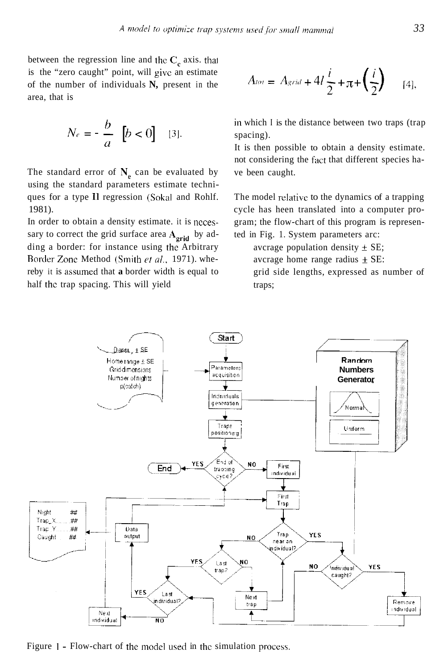between the regression line and the  $C_c$  axis. that is the "zero caught" point, will give an estimate of the number of individuals **N,** present in the area, that is

$$
N_e = -\frac{b}{a} \quad [b < 0] \quad \text{[3]}.
$$

The standard error of  $N_e$  can be evaluated by using the standard parameters estimate techniques for a type I1 regression (Sokal and Rohlf. 1981).

In order to obtain a density estimate. it is nccessary to correct the grid surface area A<sub>orid</sub> by adding a border: for instance using the Arbitrary Border Zone Method (Smith et al., 1971). whereby it is assumed that **a** border width is equal to half thc trap spacing. This will yield

$$
A_{tot} = A_{grid} + 4l\frac{i}{2} + \pi + \left(\frac{i}{2}\right) \qquad [4],
$$

**in** which **I** is the distance between two traps (trap spacing).

It is then possible to obtain a density estimate. not considering the fact that different species have been caught.

The model relativc to the dynamics of a trapping cycle has heen translated into a computer program; the flow-chart of this program is represented in Fig. 1. System parameters arc:

avcrage population density  $\pm$  SE;

avcrage home range radius  $\pm$  SE:

grid side lengths, expressed as number of traps;



Figure 1 - Flow-chart of the model used in the simulation process.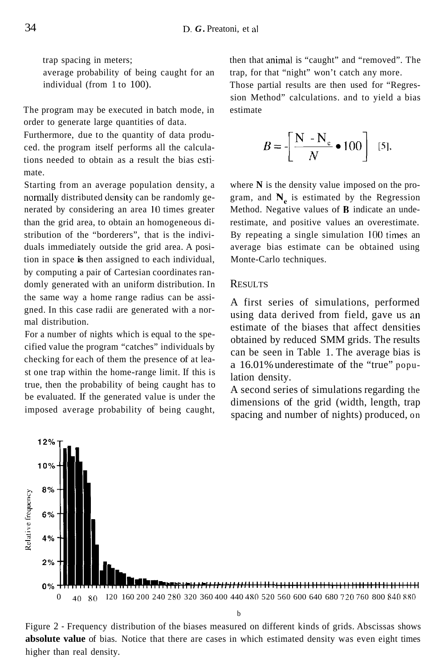trap spacing in meters; average probability of being caught for an individual (from 1 to 100).

The program may be executed in batch mode, in order to generate large quantities of data.

Furthermore, due to the quantity of data produced. the program itself performs all the calculations needed to obtain as a result the bias cstimate.

Starting from an average population density, a normally distributed density can be randomly generated by considering an area 10 times greater than the grid area, to obtain an homogeneous distribution of the "borderers", that is the individuals immediately outside the grid area. A position in space **is** then assigned to each individual, by computing a pair of Cartesian coordinates randomly generated with an uniform distribution. In the same way a home range radius can be assigned. In this case radii are generated with a normal distribution.

For a number of nights which is equal to the specified value the program "catches" individuals by checking for each of them the presence of at least one trap within the home-range limit. If this is true, then the probability of being caught has to be evaluated. If the generated value is under the imposed average probability of being caught, then that animal is "caught" and "removed". The trap, for that "night" won't catch any more.

Those partial results are then used for "Regression Method" calculations. and to yield a bias estimate

$$
B = \left[\frac{\mathbf{N} - \mathbf{N}_{\mathrm{e}}}{N} \bullet 100\right] \quad [5].
$$

where **N** is the density value imposed on the program, and **N,** is estimated by the Regression Method. Negative values of **R** indicate an underestimate, and positive values an overestimate. By repeating a single simulation **100** times an average bias estimate can be obtained using Monte-Carlo techniques.

#### **RESULTS**

A first series of simulations, performed using data derived from field, gave us an estimate of the biases that affect densities obtained by reduced SMM grids. The results can be seen in Table 1. The average bias is a 16.01% underestimate of the "true" population density.

A second series of simulations regarding the dimensions of the grid (width, length, trap spacing and number of nights) produced, on



b

Figure 2 - Frequency distribution of the biases measured on different kinds of grids. Abscissas shows **absolute value** of bias. Notice that there are cases in which estimated density was even eight times higher than real density.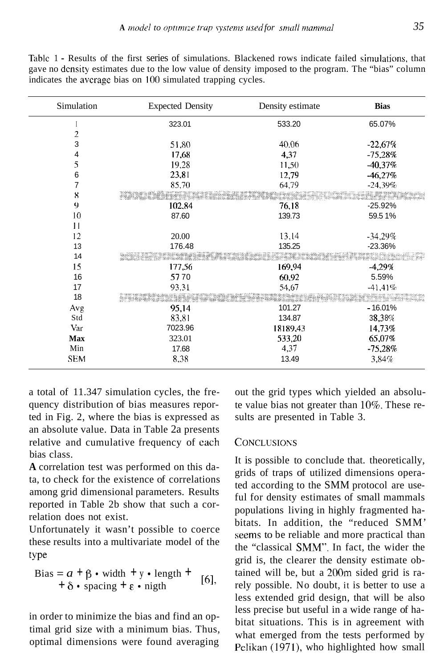| Simulation      | <b>Expected Density</b> | Density estimate | <b>Bias</b>                  |
|-----------------|-------------------------|------------------|------------------------------|
|                 | 323.01                  | 533.20           | 65.07%                       |
| $\overline{2}$  |                         |                  |                              |
| 3               | 51,80                   | 40,06            | $-22.67%$                    |
| 4               | 17,68                   | 4,37             | $-75,28%$                    |
| 5               | 19,28                   | 11,50            | $-40.37%$                    |
| 6               | 23.81                   | 12,79            | $-46.27%$                    |
| 7               | 85,70                   | 64,79            | $-24,39%$                    |
| 8               |                         |                  | <b>Nill mark</b>             |
| 9               | 102,84                  | 76.18            | $-25.92%$                    |
| 10              | 87.60                   | 139.73           | 59.51%                       |
| $\overline{11}$ |                         |                  |                              |
| 12              | 20.00                   | 13,14            | $-34,29%$                    |
| 13              | 176.48                  | 135.25           | $-23.36%$                    |
| 14              |                         |                  | distributions.<br>Sidengalas |
| 15              | 177,56                  | 169,94           | $-4,29%$                     |
| 16              | 5770                    | 60,92            | 5.59%                        |
| 17              | 93,31                   | 54,67            | $-41,41%$                    |
| 18              |                         |                  |                              |
| Avg             | 95,14                   | 101.27           | $-16.01%$                    |
| Std             | 83,81                   | 134.87           | 38,38%                       |
| Var             | 7023.96                 | 18189,43         | 14,73%                       |
| <b>Max</b>      | 323.01                  | 533,20           | 65,07%                       |
| Min             | 17.68                   | 4,37             | $-75,28%$                    |
| <b>SEM</b>      | 8,38                    | 13.49            | 3,84%                        |

Table 1 - Results of the first series of simulations. Blackened rows indicate failed simulations, that gave no density estimates due to the low value of density imposed to the program. The "bias" column indicates the average bias on 100 simulated trapping cycles.

a total of 11.347 simulation cycles, the frequency distribution of bias measures reported in Fig. 2, where the bias is expressed as an absolute value. Data in Table 2a presents relative and cumulative frequency of each bias class.

A correlation test was performed on this data, to check for the existence of correlations among grid dimensional parameters. Results renorted in Table 2b show that such a correlation does not exist.

Unfortunately it wasn't possible to coerce these results into a multivariate model of the type

Bias = 
$$
a + \beta \cdot \text{width} + \text{y} \cdot \text{length} + \text{[6]},
$$
  
+  $\delta \cdot \text{spacing} + \epsilon \cdot \text{night}$ 

in order to minimize the bias and find an optimal grid size with a minimum bias. Thus, optimal dimensions were found averaging

out the grid types which yielded an absolute value bias not greater than 10%. These results are presented in Table 3.

## **CONCLUSIONS**

It is possible to conclude that. theoretically, grids of traps of utilized dimensions operated according to the SMM protocol are useful for density estimates of small mammals populations living in highly fragmented habitats. In addition, the "reduced SMM" seems to be reliable and more practical than the "classical SMM". In fact, the wider the grid is, the clearer the density estimate obtained will be, but a 200m sided grid is rarely possible. No doubt, it is better to use a less extended grid design, that will be also less precise but useful in a wide range of habitat situations. This is in agreement with what emerged from the tests performed by Pelikan (1971), who highlighted how small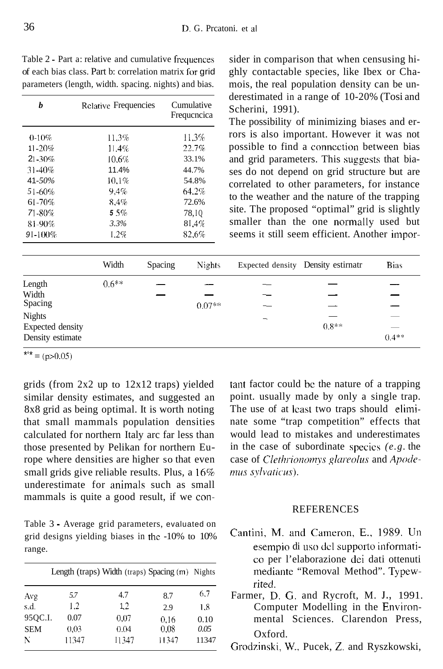| Table 2 - Part a: relative and cumulative frequences    |
|---------------------------------------------------------|
| of each bias class. Part b: correlation matrix for grid |
| parameters (length, width. spacing, nights) and bias.   |

| h            | <b>Relative Frequencies</b> | Cumulative<br>Frequencica |  |
|--------------|-----------------------------|---------------------------|--|
| $0-10%$      | 11.3%                       | 11.3%                     |  |
| $11 - 20%$   | 11.4%                       | 22.7%                     |  |
| $21 - 30\%$  | 10.6%                       | 33.1%                     |  |
| $31 - 40\%$  | 11.4%                       | 44.7%                     |  |
| $41 - 50\%$  | 10.1%                       | 54.8%                     |  |
| 51-60%       | 9.4%                        | 64.2%                     |  |
| 61-70%       | 8.4%                        | 72.6%                     |  |
| 71-80%       | 55%                         | 78,10                     |  |
| 81-90%       | 3.3%                        | 8I.4%                     |  |
| $91 - 100\%$ | 1.2%                        | 82.6%                     |  |
|              |                             |                           |  |

sider in comparison that when censusing highly contactable species, like Ibex or Chamois, the real population density can be underestimated in a range of 10-20% (Tosi and Scherini, 1991).

The possibility of minimizing biases and errors is also important. However it was not possible to find a connection between bias and grid parameters. This suggests that biases do not depend on grid structure but are correlated to other parameters, for instance to the weather and the nature of the trapping site. The proposed "optimal" grid is slightly smaller than the one normally used but seems it still seem efficient. Another impor-

|                  | Width   | Spacing | <b>Nights</b> | Expected density Density estimatr |         | <b>Bias</b> |
|------------------|---------|---------|---------------|-----------------------------------|---------|-------------|
| Length           | $0.6**$ |         |               |                                   |         |             |
| Width            |         |         |               |                                   |         |             |
| Spacing          |         |         | $0.07**$      |                                   |         |             |
| <b>Nights</b>    |         |         |               | -                                 |         |             |
| Expected density |         |         |               |                                   | $0.8**$ | __          |
| Density estimate |         |         |               |                                   |         | $0.4**$     |

\*\*\* =  $(p>0.05)$ 

grids (from 2x2 up to 12x12 traps) yielded similar density estimates, and suggested an 8x8 grid as being optimal. It is worth noting that small mammals population densities calculated for northern Italy arc far less than those presented by Pelikan for northern Europe where densities are higher so that even small grids give reliable results. Plus, a 16% underestimate for animals such as small mammals is quite a good result, if we con-

Table 3 - Average grid parameters, evaluated on grid designs yielding biases in the -10% to 10% range.

|            |       | Length (traps) Width (traps) Spacing (m) Nights |       |       |
|------------|-------|-------------------------------------------------|-------|-------|
| Avg        | 5.7   | 4.7                                             | 8.7   | 6.7   |
| s.d.       | 1.2   | $1.2\,$                                         | 2.9   | 1.8   |
| 95QC.I.    | 0.07  | 0.07                                            | 0.16  | 0.10  |
| <b>SEM</b> | 0.03  | 0.04                                            | 0.08  | 0.05  |
| N          | 11347 | 11347                                           | 11347 | 11347 |

tant factor could be the nature of a trapping point. usually made by only a single trap. The use of at least two traps should eliminate some "trap competition" effects that would lead to mistakes and underestimates in the case of subordinate species  $(e, g, t)$ case of Clethrionomys glareolus and Apodemus sylvaticus).

#### **REFERENCES**

- Cantini, M. and Cameron, E., 1989. Un esempio di uso del supporto informatico per l'elaborazione dei dati ottenuti mediante "Removal Method". Typewrited
- Farmer, D. G. and Rycroft, M. J., 1991. Computer Modelling in the Environmental Sciences. Clarendon Press, Oxford.
- Grodzinski, W., Pucek, Z. and Ryszkowski,